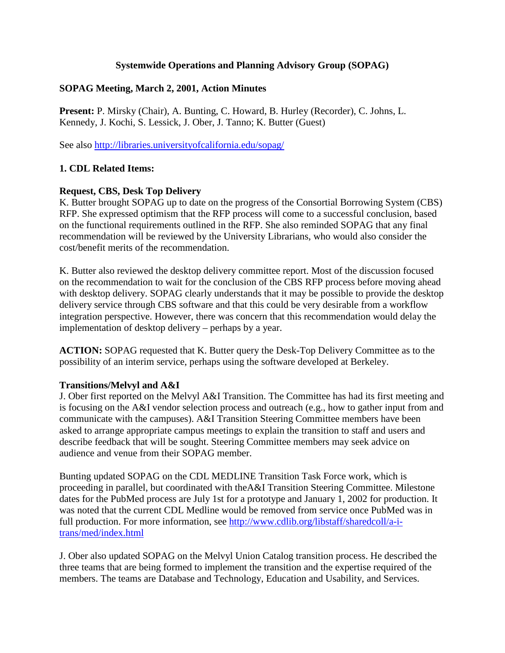## **Systemwide Operations and Planning Advisory Group (SOPAG)**

## **SOPAG Meeting, March 2, 2001, Action Minutes**

**Present:** P. Mirsky (Chair), A. Bunting, C. Howard, B. Hurley (Recorder), C. Johns, L. Kennedy, J. Kochi, S. Lessick, J. Ober, J. Tanno; K. Butter (Guest)

See also http://libraries.universityofcalifornia.edu/sopag/

# **1. CDL Related Items:**

# **Request, CBS, Desk Top Delivery**

K. Butter brought SOPAG up to date on the progress of the Consortial Borrowing System (CBS) RFP. She expressed optimism that the RFP process will come to a successful conclusion, based on the functional requirements outlined in the RFP. She also reminded SOPAG that any final recommendation will be reviewed by the University Librarians, who would also consider the cost/benefit merits of the recommendation.

K. Butter also reviewed the desktop delivery committee report. Most of the discussion focused on the recommendation to wait for the conclusion of the CBS RFP process before moving ahead with desktop delivery. SOPAG clearly understands that it may be possible to provide the desktop delivery service through CBS software and that this could be very desirable from a workflow integration perspective. However, there was concern that this recommendation would delay the implementation of desktop delivery – perhaps by a year.

**ACTION:** SOPAG requested that K. Butter query the Desk-Top Delivery Committee as to the possibility of an interim service, perhaps using the software developed at Berkeley.

## **Transitions/Melvyl and A&I**

J. Ober first reported on the Melvyl A&I Transition. The Committee has had its first meeting and is focusing on the A&I vendor selection process and outreach (e.g., how to gather input from and communicate with the campuses). A&I Transition Steering Committee members have been asked to arrange appropriate campus meetings to explain the transition to staff and users and describe feedback that will be sought. Steering Committee members may seek advice on audience and venue from their SOPAG member.

Bunting updated SOPAG on the CDL MEDLINE Transition Task Force work, which is proceeding in parallel, but coordinated with theA&I Transition Steering Committee. Milestone dates for the PubMed process are July 1st for a prototype and January 1, 2002 for production. It was noted that the current CDL Medline would be removed from service once PubMed was in full production. For more information, see [http://www.cdlib.org/libstaff/sharedcoll/a-i](http://www.cdlib.org/libstaff/sharedcoll/a-i-trans/med/index.html)[trans/med/index.html](http://www.cdlib.org/libstaff/sharedcoll/a-i-trans/med/index.html)

J. Ober also updated SOPAG on the Melvyl Union Catalog transition process. He described the three teams that are being formed to implement the transition and the expertise required of the members. The teams are Database and Technology, Education and Usability, and Services.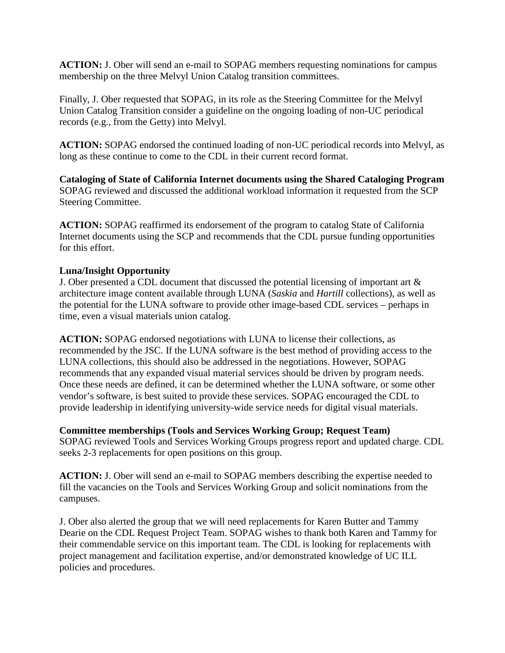**ACTION:** J. Ober will send an e-mail to SOPAG members requesting nominations for campus membership on the three Melvyl Union Catalog transition committees.

Finally, J. Ober requested that SOPAG, in its role as the Steering Committee for the Melvyl Union Catalog Transition consider a guideline on the ongoing loading of non-UC periodical records (e.g., from the Getty) into Melvyl.

**ACTION:** SOPAG endorsed the continued loading of non-UC periodical records into Melvyl, as long as these continue to come to the CDL in their current record format.

**Cataloging of State of California Internet documents using the Shared Cataloging Program** SOPAG reviewed and discussed the additional workload information it requested from the SCP Steering Committee.

**ACTION:** SOPAG reaffirmed its endorsement of the program to catalog State of California Internet documents using the SCP and recommends that the CDL pursue funding opportunities for this effort.

## **Luna/Insight Opportunity**

J. Ober presented a CDL document that discussed the potential licensing of important art & architecture image content available through LUNA (*Saskia* and *Hartill* collections), as well as the potential for the LUNA software to provide other image-based CDL services – perhaps in time, even a visual materials union catalog.

**ACTION:** SOPAG endorsed negotiations with LUNA to license their collections, as recommended by the JSC. If the LUNA software is the best method of providing access to the LUNA collections, this should also be addressed in the negotiations. However, SOPAG recommends that any expanded visual material services should be driven by program needs. Once these needs are defined, it can be determined whether the LUNA software, or some other vendor's software, is best suited to provide these services. SOPAG encouraged the CDL to provide leadership in identifying university-wide service needs for digital visual materials.

**Committee memberships (Tools and Services Working Group; Request Team)** SOPAG reviewed Tools and Services Working Groups progress report and updated charge. CDL seeks 2-3 replacements for open positions on this group.

**ACTION:** J. Ober will send an e-mail to SOPAG members describing the expertise needed to fill the vacancies on the Tools and Services Working Group and solicit nominations from the campuses.

J. Ober also alerted the group that we will need replacements for Karen Butter and Tammy Dearie on the CDL Request Project Team. SOPAG wishes to thank both Karen and Tammy for their commendable service on this important team. The CDL is looking for replacements with project management and facilitation expertise, and/or demonstrated knowledge of UC ILL policies and procedures.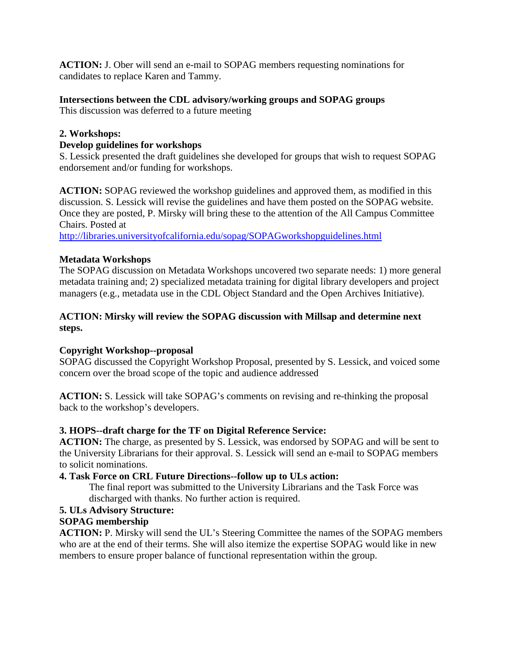**ACTION:** J. Ober will send an e-mail to SOPAG members requesting nominations for candidates to replace Karen and Tammy.

# **Intersections between the CDL advisory/working groups and SOPAG groups**

This discussion was deferred to a future meeting

## **2. Workshops:**

#### **Develop guidelines for workshops**

S. Lessick presented the draft guidelines she developed for groups that wish to request SOPAG endorsement and/or funding for workshops.

**ACTION:** SOPAG reviewed the workshop guidelines and approved them, as modified in this discussion. S. Lessick will revise the guidelines and have them posted on the SOPAG website. Once they are posted, P. Mirsky will bring these to the attention of the All Campus Committee Chairs. Posted at

<http://libraries.universityofcalifornia.edu/sopag/SOPAGworkshopguidelines.html>

## **Metadata Workshops**

The SOPAG discussion on Metadata Workshops uncovered two separate needs: 1) more general metadata training and; 2) specialized metadata training for digital library developers and project managers (e.g., metadata use in the CDL Object Standard and the Open Archives Initiative).

## **ACTION: Mirsky will review the SOPAG discussion with Millsap and determine next steps.**

## **Copyright Workshop--proposal**

SOPAG discussed the Copyright Workshop Proposal, presented by S. Lessick, and voiced some concern over the broad scope of the topic and audience addressed

**ACTION:** S. Lessick will take SOPAG's comments on revising and re-thinking the proposal back to the workshop's developers.

## **3. HOPS--draft charge for the TF on Digital Reference Service:**

**ACTION:** The charge, as presented by S. Lessick, was endorsed by SOPAG and will be sent to the University Librarians for their approval. S. Lessick will send an e-mail to SOPAG members to solicit nominations.

## **4. Task Force on CRL Future Directions--follow up to ULs action:**

The final report was submitted to the University Librarians and the Task Force was discharged with thanks. No further action is required.

## **5. ULs Advisory Structure:**

## **SOPAG membership**

**ACTION:** P. Mirsky will send the UL's Steering Committee the names of the SOPAG members who are at the end of their terms. She will also itemize the expertise SOPAG would like in new members to ensure proper balance of functional representation within the group.